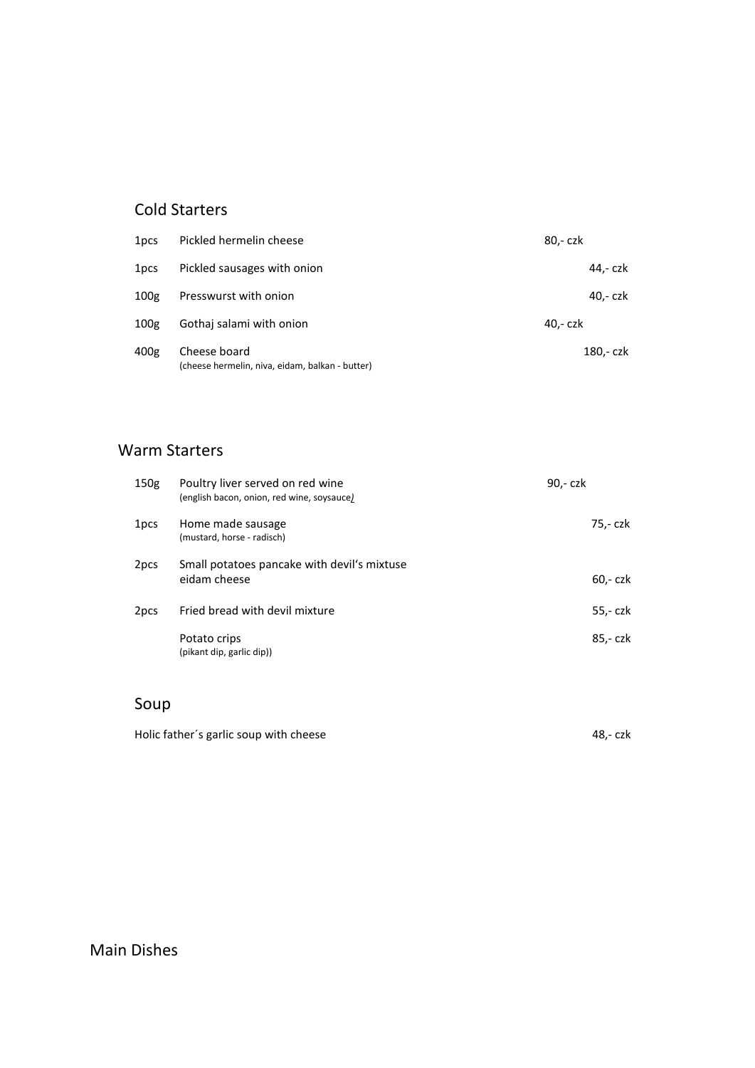#### Cold Starters

| 1 <sub>pcs</sub> | Pickled hermelin cheese                                         | 80,- czk  |
|------------------|-----------------------------------------------------------------|-----------|
| 1 <sub>pcs</sub> | Pickled sausages with onion                                     | 44.- czk  |
| 100 <sub>g</sub> | Presswurst with onion                                           | 40.- czk  |
| 100 <sub>g</sub> | Gothai salami with onion                                        | 40,- czk  |
| 400g             | Cheese board<br>(cheese hermelin, niva, eidam, balkan - butter) | 180,- czk |

#### Warm Starters

| 150 <sub>g</sub> | Poultry liver served on red wine<br>(english bacon, onion, red wine, soysauce) | 90,- czk |
|------------------|--------------------------------------------------------------------------------|----------|
| 1 <sub>pcs</sub> | Home made sausage<br>(mustard, horse - radisch)                                | 75,- czk |
| 2 <sub>pcs</sub> | Small potatoes pancake with devil's mixtuse<br>eidam cheese                    | 60,- czk |
| 2 <sub>pcs</sub> | Fried bread with devil mixture                                                 | 55,- czk |
|                  | Potato crips<br>(pikant dip, garlic dip))                                      | 85,- czk |

## Soup

Holic father's garlic soup with cheese and the state of the 48,- czk

Main Dishes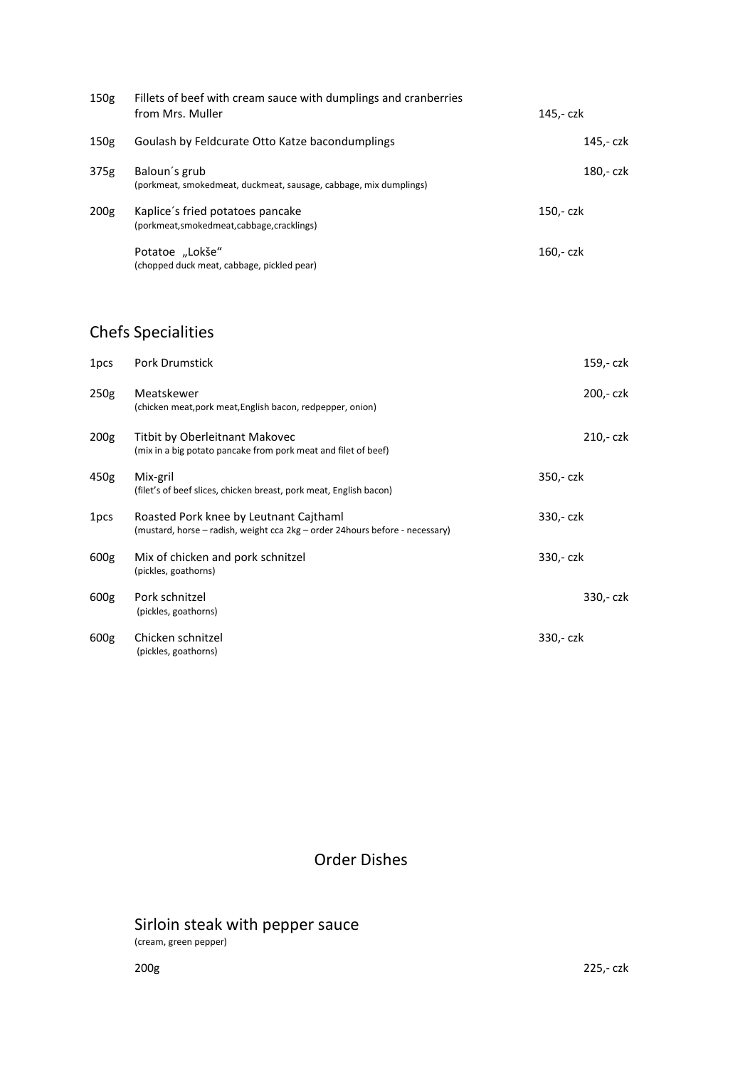| 150 <sub>g</sub> | Fillets of beef with cream sauce with dumplings and cranberries<br>from Mrs. Muller | 145,- czk |
|------------------|-------------------------------------------------------------------------------------|-----------|
| 150 <sub>g</sub> | Goulash by Feldcurate Otto Katze bacondumplings                                     | 145,- czk |
| 375g             | Baloun's grub<br>(porkmeat, smokedmeat, duckmeat, sausage, cabbage, mix dumplings)  | 180,- czk |
| 200 <sub>g</sub> | Kaplice's fried potatoes pancake<br>(porkmeat, smokedmeat, cabbage, cracklings)     | 150,- czk |
|                  | Potatoe "Lokše"<br>(chopped duck meat, cabbage, pickled pear)                       | 160,- czk |

# Chefs Specialities

| 1 <sub>pcs</sub> | <b>Pork Drumstick</b>                                                                                                   | 159,- czk |
|------------------|-------------------------------------------------------------------------------------------------------------------------|-----------|
| 250g             | Meatskewer<br>(chicken meat, pork meat, English bacon, redpepper, onion)                                                | 200,- czk |
| 200 <sub>g</sub> | Titbit by Oberleitnant Makovec<br>(mix in a big potato pancake from pork meat and filet of beef)                        | 210,- czk |
| 450g             | Mix-gril<br>(filet's of beef slices, chicken breast, pork meat, English bacon)                                          | 350,- czk |
| 1 <sub>pcs</sub> | Roasted Pork knee by Leutnant Cajthaml<br>(mustard, horse – radish, weight cca 2kg – order 24 hours before - necessary) | 330,- czk |
| 600g             | Mix of chicken and pork schnitzel<br>(pickles, goathorns)                                                               | 330,- czk |
| 600g             | Pork schnitzel<br>(pickles, goathorns)                                                                                  | 330,- czk |
| 600g             | Chicken schnitzel<br>(pickles, goathorns)                                                                               | 330,- czk |

Order Dishes

## Sirloin steak with pepper sauce

(cream, green pepper)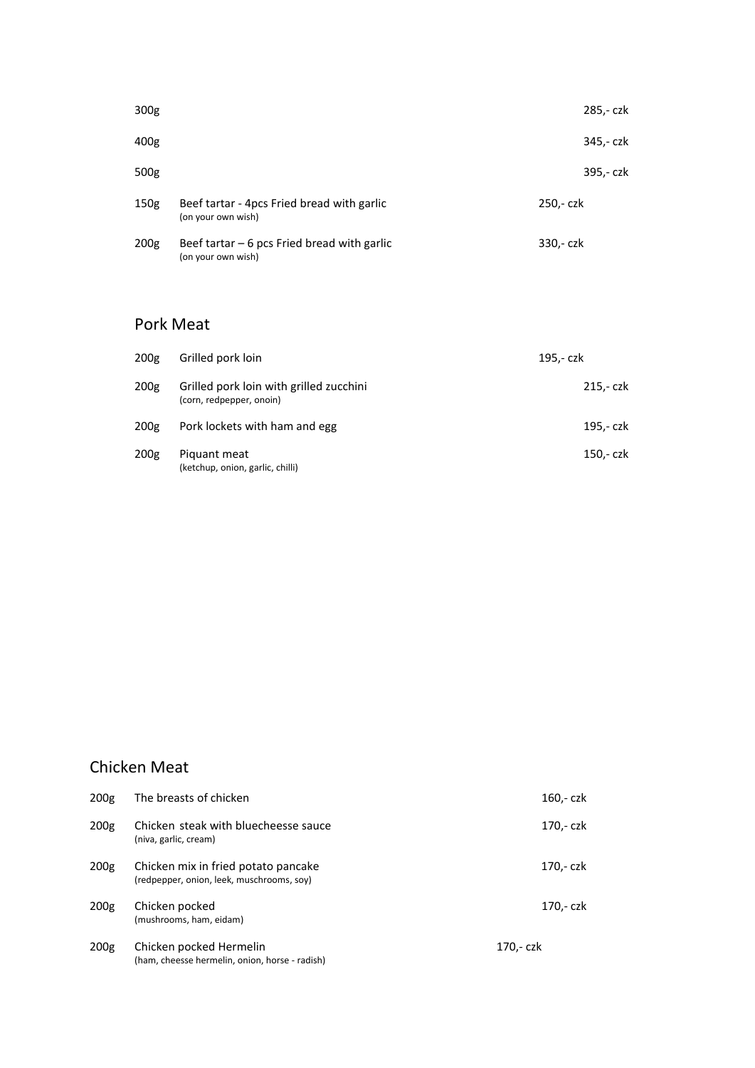| 300 <sub>g</sub> |                                                                    | 285,- czk |
|------------------|--------------------------------------------------------------------|-----------|
| 400g             |                                                                    | 345,- czk |
| 500g             |                                                                    | 395,- czk |
| 150g             | Beef tartar - 4pcs Fried bread with garlic<br>(on your own wish)   | 250,- czk |
| 200 <sub>g</sub> | Beef tartar $-6$ pcs Fried bread with garlic<br>(on your own wish) | 330,- czk |

#### Pork Meat

| 200 <sub>g</sub> | Grilled pork loin                                                   | 195,- czk |
|------------------|---------------------------------------------------------------------|-----------|
| 200 <sub>g</sub> | Grilled pork loin with grilled zucchini<br>(corn, redpepper, onoin) | 215,- czk |
| 200 <sub>g</sub> | Pork lockets with ham and egg                                       | 195,- czk |
| 200 <sub>g</sub> | Piguant meat<br>(ketchup, onion, garlic, chilli)                    | 150,- czk |

## Chicken Meat

| 200g | The breasts of chicken                                                           | 160,- czk |
|------|----------------------------------------------------------------------------------|-----------|
| 200g | Chicken steak with bluecheesse sauce<br>(niva, garlic, cream)                    | 170,- czk |
| 200g | Chicken mix in fried potato pancake<br>(redpepper, onion, leek, muschrooms, soy) | 170,- czk |
| 200g | Chicken pocked<br>(mushrooms, ham, eidam)                                        | 170.- czk |
| 200g | Chicken pocked Hermelin<br>(ham, cheesse hermelin, onion, horse - radish)        | 170,- czk |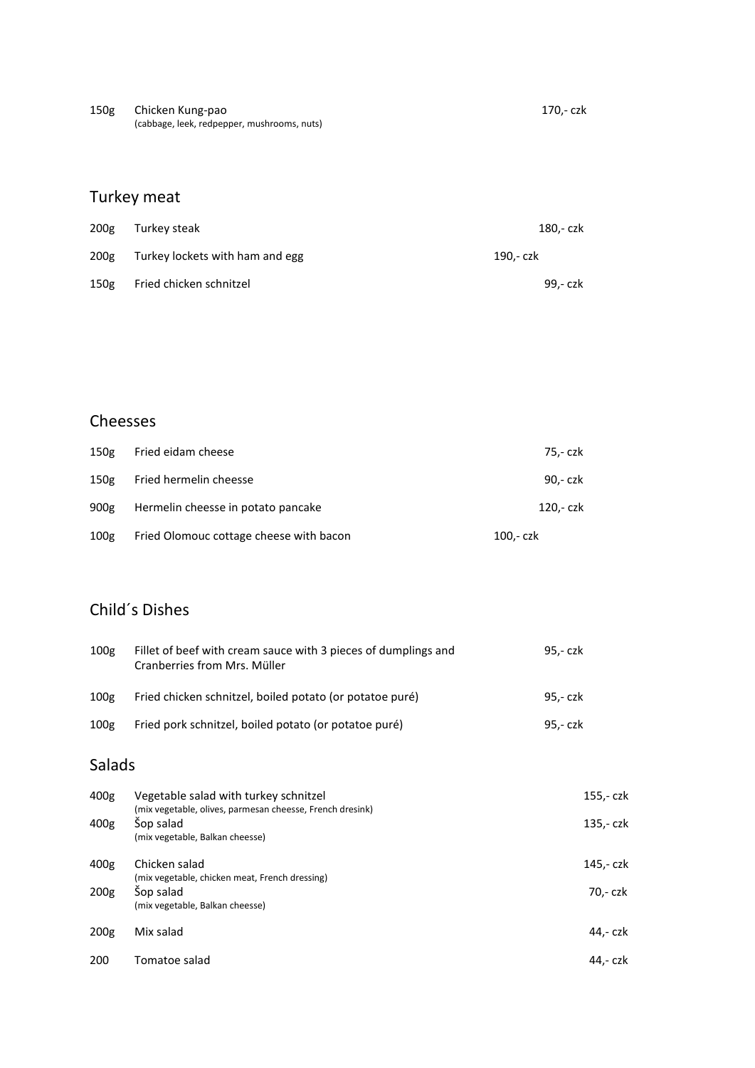| 150 <sub>g</sub> | Chicken Kung-pao                            | 170.- czk |
|------------------|---------------------------------------------|-----------|
|                  | (cabbage, leek, redpepper, mushrooms, nuts) |           |

| 200 <sub>g</sub> | Turkey steak                    | 180.- czk |
|------------------|---------------------------------|-----------|
| 200g             | Turkey lockets with ham and egg | 190.- czk |
| 150g             | Fried chicken schnitzel         | 99.- czk  |

## Cheesses

| 150g             | Fried eidam cheese                      | 75.- czk  |
|------------------|-----------------------------------------|-----------|
| 150g             | Fried hermelin cheesse                  | 90.- czk  |
| 900g             | Hermelin cheesse in potato pancake      | 120.- czk |
| 100 <sub>g</sub> | Fried Olomouc cottage cheese with bacon | 100,- czk |

## Child´s Dishes

| 100g             | Fillet of beef with cream sauce with 3 pieces of dumplings and<br>Cranberries from Mrs. Müller | 95.- czk |
|------------------|------------------------------------------------------------------------------------------------|----------|
| 100 <sub>g</sub> | Fried chicken schnitzel, boiled potato (or potatoe puré)                                       | 95.- czk |
| 100 <sub>g</sub> | Fried pork schnitzel, boiled potato (or potatoe puré)                                          | 95.- czk |

## Salads

| 400g             | Vegetable salad with turkey schnitzel<br>(mix vegetable, olives, parmesan cheesse, French dresink) | 155,- czk |
|------------------|----------------------------------------------------------------------------------------------------|-----------|
| 400g             | Sop salad<br>(mix vegetable, Balkan cheesse)                                                       | 135,- czk |
| 400g             | Chicken salad<br>(mix vegetable, chicken meat, French dressing)                                    | 145,- czk |
| 200 <sub>g</sub> | Sop salad<br>(mix vegetable, Balkan cheesse)                                                       | 70.- czk  |
| 200 <sub>g</sub> | Mix salad                                                                                          | 44.- czk  |
| 200              | Tomatoe salad                                                                                      | 44.- czk  |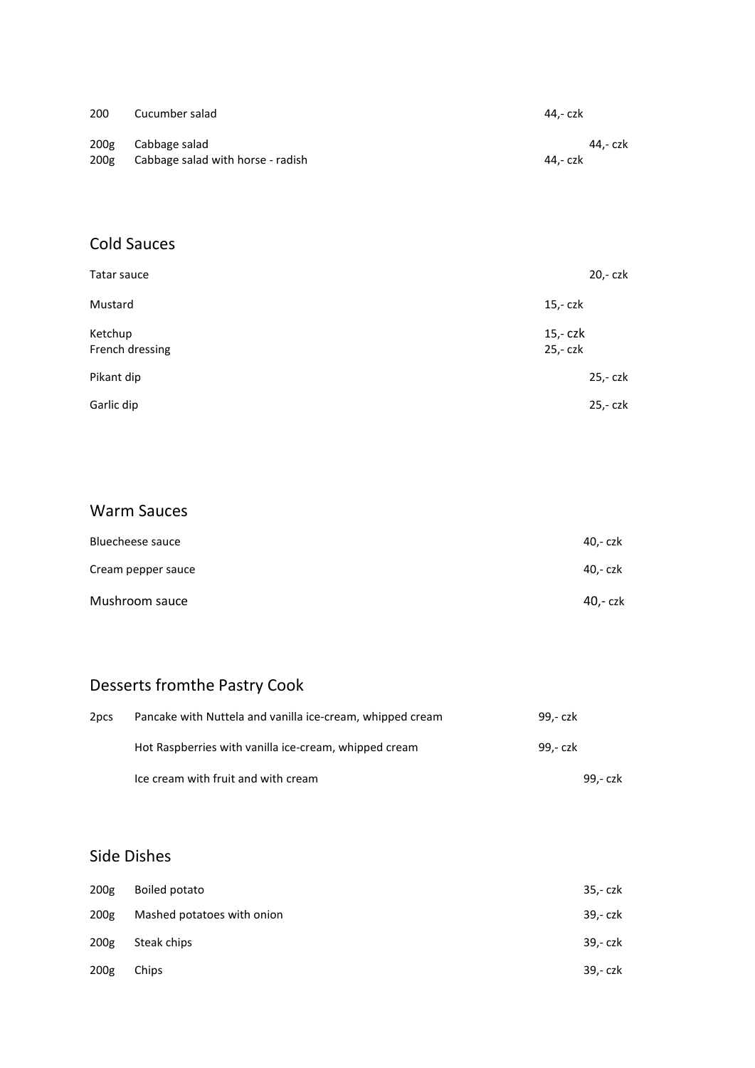| 200              | Cucumber salad                    | 44.- czk |
|------------------|-----------------------------------|----------|
| 200 <sub>g</sub> | Cabbage salad                     | 44.- czk |
| 200g             | Cabbage salad with horse - radish | 44.- czk |

#### Cold Sauces

| Tatar sauce                | 20,- czk              |
|----------------------------|-----------------------|
| Mustard                    | $15 - czk$            |
| Ketchup<br>French dressing | $15,-czk$<br>25,- czk |
| Pikant dip                 | 25,- czk              |
| Garlic dip                 | 25,- czk              |

## Warm Sauces

| Bluecheese sauce   | 40,- czk |
|--------------------|----------|
| Cream pepper sauce | 40,- czk |
| Mushroom sauce     | 40,- czk |

# Desserts fromthe Pastry Cook

| 2 <sub>pcs</sub> | Pancake with Nuttela and vanilla ice-cream, whipped cream | 99.- czk |  |
|------------------|-----------------------------------------------------------|----------|--|
|                  | Hot Raspberries with vanilla ice-cream, whipped cream     | 99.- czk |  |
|                  | Ice cream with fruit and with cream                       | 99,- czk |  |

#### Side Dishes

| 200 <sub>g</sub> | Boiled potato              | 35,- czk |
|------------------|----------------------------|----------|
| 200 <sub>g</sub> | Mashed potatoes with onion | 39,- czk |
| 200 <sub>g</sub> | Steak chips                | 39,- czk |
| 200 <sub>g</sub> | Chips                      | 39,- czk |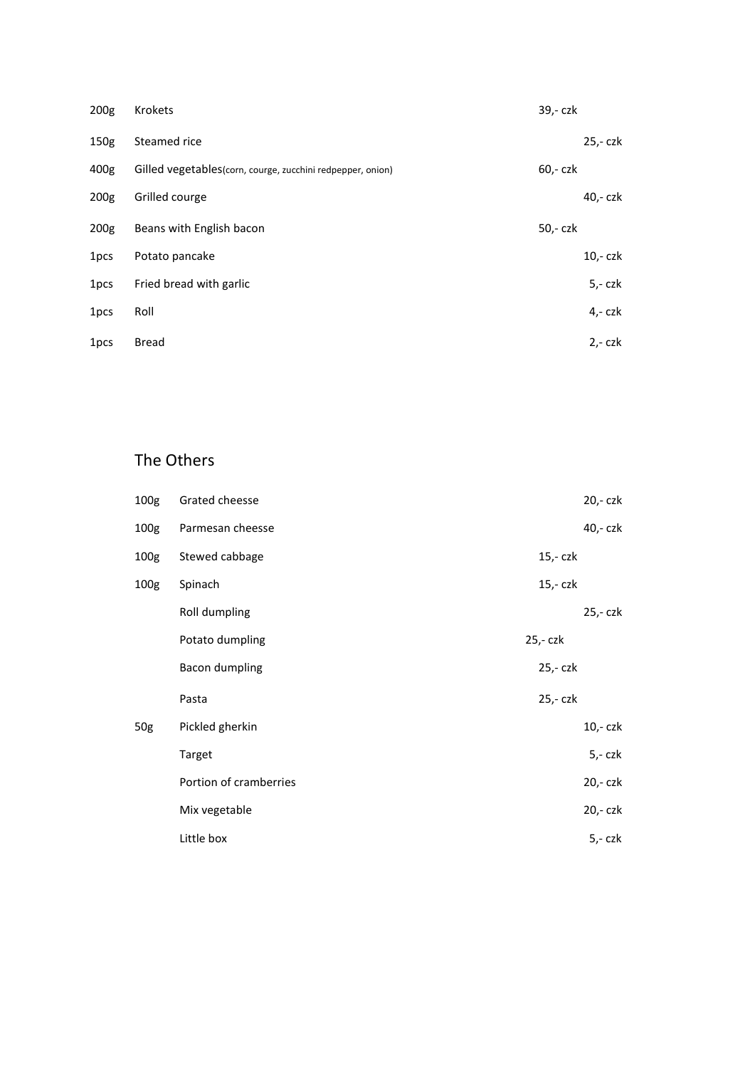| 200 <sub>g</sub> | Krokets                                                    | 39,- czk |           |
|------------------|------------------------------------------------------------|----------|-----------|
| 150 <sub>g</sub> | Steamed rice                                               |          | 25,- czk  |
| 400g             | Gilled vegetables(corn, courge, zucchini redpepper, onion) | 60,- czk |           |
| 200 <sub>g</sub> | Grilled courge                                             |          | 40,- czk  |
| 200 <sub>g</sub> | Beans with English bacon                                   | 50,- czk |           |
| 1pcs             | Potato pancake                                             |          | 10,- czk  |
| 1pcs             | Fried bread with garlic                                    |          | $5 - czk$ |
| 1 <sub>pcs</sub> | Roll                                                       |          | $4,- czk$ |
| 1pcs             | Bread                                                      |          | $2,-czk$  |

#### The Others

| 100 <sub>g</sub> | Grated cheesse         |          | 20,- czk  |
|------------------|------------------------|----------|-----------|
| 100 <sub>g</sub> | Parmesan cheesse       |          | 40,- czk  |
| 100 <sub>g</sub> | Stewed cabbage         | 15,- czk |           |
| 100 <sub>g</sub> | Spinach                | 15,- czk |           |
|                  | Roll dumpling          |          | 25,- czk  |
|                  | Potato dumpling        | 25,- czk |           |
|                  | <b>Bacon dumpling</b>  | 25,- czk |           |
|                  | Pasta                  | 25,- czk |           |
| 50g              | Pickled gherkin        |          | $10,-czk$ |
|                  | Target                 |          | $5 - czk$ |
|                  | Portion of cramberries |          | 20,- czk  |
|                  | Mix vegetable          |          | 20,- czk  |
|                  | Little box             |          | 5,- czk   |